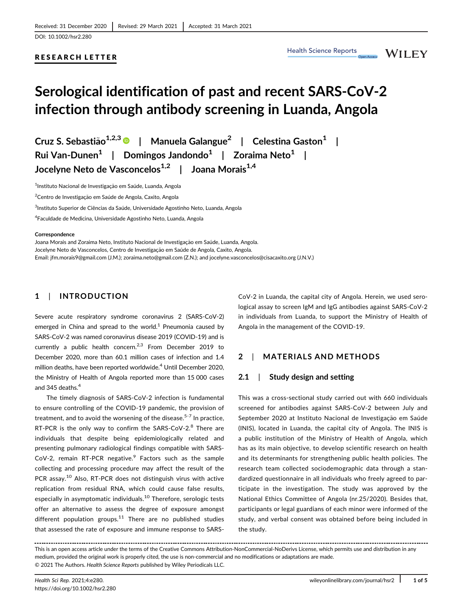# RESEARCH LETTER

**WILEY** 

# Serological identification of past and recent SARS-CoV-2 infection through antibody screening in Luanda, Angola

Cruz S. Sebastião<sup>1,2,3</sup> <sup>D</sup> | Manuela Galangue<sup>2</sup> | Celestina Gaston<sup>1</sup> | Rui Van-Dunen<sup>1</sup> | Domingos Jandondo<sup>1</sup> | Zoraima Neto<sup>1</sup> | Jocelyne Neto de Vasconcelos<sup>1,2</sup> | Joana Morais<sup>1,4</sup>

<sup>1</sup>Instituto Nacional de Investigação em Saúde, Luanda, Angola

<sup>2</sup>Centro de Investigação em Saúde de Angola, Caxito, Angola

 $^3$ Instituto Superior de Ciências da Saúde, Universidade Agostinho Neto, Luanda, Angola

<sup>4</sup>Faculdade de Medicina, Universidade Agostinho Neto, Luanda, Angola

#### **Correspondence**

Joana Morais and Zoraima Neto, Instituto Nacional de Investigação em Saúde, Luanda, Angola. Jocelyne Neto de Vasconcelos, Centro de Investigação em Saúde de Angola, Caxito, Angola. Email: [jfm.morais9@gmail.com](mailto:Instituto Nacional de Investiga��o em Sa�deLuandaAngolaCentro de Investiga��o em Sa�de de AngolaCaxitoAngolaInstituto Superior de Ci�ncias da Sa�deUniversidade Agostinho NetoLuandaAngolaFaculdade de MedicinaUniversidade Agostinho NetoLuandaAngola) (J.M.); [zoraima.neto@gmail.com](mailto:Instituto Nacional de Investiga��o em Sa�deLuandaAngolaCentro de Investiga��o em Sa�de de AngolaCaxitoAngolaInstituto Superior de Ci�ncias da Sa�deUniversidade Agostinho NetoLuandaAngolaFaculdade de MedicinaUniversidade Agostinho NetoLuandaAngola) (Z.N.); and [jocelyne.vasconcelos@cisacaxito.org](mailto:Instituto Nacional de Investiga��o em Sa�deLuandaAngolaCentro de Investiga��o em Sa�de de AngolaCaxitoAngolaInstituto Superior de Ci�ncias da Sa�deUniversidade Agostinho NetoLuandaAngolaFaculdade de MedicinaUniversidade Agostinho NetoLuandaAngola) (J.N.V.)

# 1 | INTRODUCTION

Severe acute respiratory syndrome coronavirus 2 (SARS-CoV-2) emerged in China and spread to the world.<sup>1</sup> Pneumonia caused by SARS-CoV-2 was named coronavirus disease 2019 (COVID-19) and is currently a public health concern.<sup>2,3</sup> From December 2019 to December 2020, more than 60.1 million cases of infection and 1.4 million deaths, have been reported worldwide.<sup>4</sup> Until December 2020, the Ministry of Health of Angola reported more than 15 000 cases and 345 deaths.<sup>4</sup>

The timely diagnosis of SARS-CoV-2 infection is fundamental to ensure controlling of the COVID-19 pandemic, the provision of treatment, and to avoid the worsening of the disease. $5-7$  In practice, RT-PCR is the only way to confirm the SARS-CoV-2.<sup>8</sup> There are individuals that despite being epidemiologically related and presenting pulmonary radiological findings compatible with SARS-CoV-2, remain RT-PCR negative. $9$  Factors such as the sample collecting and processing procedure may affect the result of the PCR assay.<sup>10</sup> Also, RT-PCR does not distinguish virus with active replication from residual RNA, which could cause false results, especially in asymptomatic individuals.<sup>10</sup> Therefore, serologic tests offer an alternative to assess the degree of exposure amongst different population groups. $11$  There are no published studies that assessed the rate of exposure and immune response to SARS-

CoV-2 in Luanda, the capital city of Angola. Herein, we used serological assay to screen IgM and IgG antibodies against SARS-CoV-2 in individuals from Luanda, to support the Ministry of Health of Angola in the management of the COVID-19.

# 2 | MATERIALS AND METHODS

# 2.1 | Study design and setting

This was a cross-sectional study carried out with 660 individuals screened for antibodies against SARS-CoV-2 between July and September 2020 at Instituto Nacional de Investigação em Saúde (INIS), located in Luanda, the capital city of Angola. The INIS is a public institution of the Ministry of Health of Angola, which has as its main objective, to develop scientific research on health and its determinants for strengthening public health policies. The research team collected sociodemographic data through a standardized questionnaire in all individuals who freely agreed to participate in the investigation. The study was approved by the National Ethics Committee of Angola (nr.25/2020). Besides that, participants or legal guardians of each minor were informed of the study, and verbal consent was obtained before being included in the study.

This is an open access article under the terms of the [Creative Commons Attribution-NonCommercial-NoDerivs](http://creativecommons.org/licenses/by-nc-nd/4.0/) License, which permits use and distribution in any medium, provided the original work is properly cited, the use is non-commercial and no modifications or adaptations are made. © 2021 The Authors. Health Science Reports published by Wiley Periodicals LLC.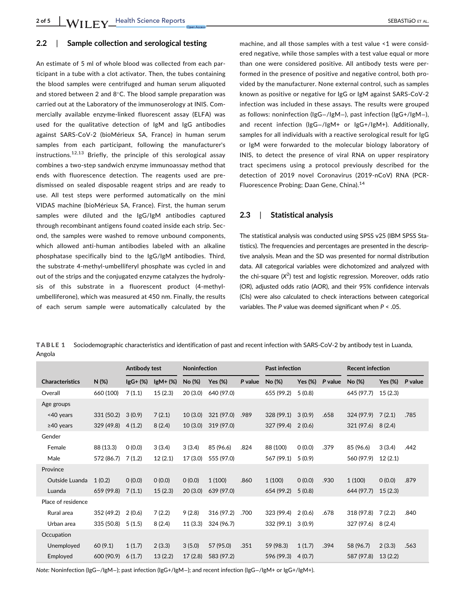# 2.2 | Sample collection and serological testing

An estimate of 5 ml of whole blood was collected from each participant in a tube with a clot activator. Then, the tubes containing the blood samples were centrifuged and human serum aliquoted and stored between 2 and  $8^{\circ}$ C. The blood sample preparation was carried out at the Laboratory of the immunoserology at INIS. Commercially available enzyme-linked fluorescent assay (ELFA) was used for the qualitative detection of IgM and IgG antibodies against SARS-CoV-2 (bioMérieux SA, France) in human serum samples from each participant, following the manufacturer's instructions.<sup>12,13</sup> Briefly, the principle of this serological assay combines a two-step sandwich enzyme immunoassay method that ends with fluorescence detection. The reagents used are predismissed on sealed disposable reagent strips and are ready to use. All test steps were performed automatically on the mini VIDAS machine (bioMérieux SA, France). First, the human serum samples were diluted and the IgG/IgM antibodies captured through recombinant antigens found coated inside each strip. Second, the samples were washed to remove unbound components, which allowed anti-human antibodies labeled with an alkaline phosphatase specifically bind to the IgG/IgM antibodies. Third, the substrate 4-methyl-umbelliferyl phosphate was cycled in and out of the strips and the conjugated enzyme catalyzes the hydrolysis of this substrate in a fluorescent product (4-methylumbelliferone), which was measured at 450 nm. Finally, the results of each serum sample were automatically calculated by the machine, and all those samples with a test value <1 were considered negative, while those samples with a test value equal or more than one were considered positive. All antibody tests were performed in the presence of positive and negative control, both provided by the manufacturer. None external control, such as samples known as positive or negative for IgG or IgM against SARS-CoV-2 infection was included in these assays. The results were grouped as follows: noninfection (IgG−/IgM−), past infection (IgG+/IgM−), and recent infection (IgG−/IgM+ or IgG+/IgM+). Additionally, samples for all individuals with a reactive serological result for IgG or IgM were forwarded to the molecular biology laboratory of INIS, to detect the presence of viral RNA on upper respiratory tract specimens using a protocol previously described for the detection of 2019 novel Coronavirus (2019-nCoV) RNA (PCR-Fluorescence Probing; Daan Gene, China).<sup>14</sup>

# 2.3 | Statistical analysis

The statistical analysis was conducted using SPSS v25 (IBM SPSS Statistics). The frequencies and percentages are presented in the descriptive analysis. Mean and the SD was presented for normal distribution data. All categorical variables were dichotomized and analyzed with the chi-square  $(X^2)$  test and logistic regression. Moreover, odds ratio (OR), adjusted odds ratio (AOR), and their 95% confidence intervals (CIs) were also calculated to check interactions between categorical variables. The P value was deemed significant when  $P < 0.05$ .

TABLE 1 Sociodemographic characteristics and identification of past and recent infection with SARS-CoV-2 by antibody test in Luanda, Angola

|                        |            | Antibody test |           | Noninfection |            |         | <b>Past infection</b> |            |         | <b>Recent infection</b> |         |         |
|------------------------|------------|---------------|-----------|--------------|------------|---------|-----------------------|------------|---------|-------------------------|---------|---------|
| <b>Characteristics</b> | $N(\%)$    | $lgG+(%)$     | $lgM+(%)$ | No (%)       | Yes (%)    | P value | No (%)                | Yes $(\%)$ | P value | No (%)                  | Yes (%) | P value |
| Overall                | 660 (100)  | 7(1.1)        | 15(2.3)   | 20(3.0)      | 640 (97.0) |         | 655 (99.2)            | 5(0.8)     |         | 645 (97.7)              | 15(2.3) |         |
| Age groups             |            |               |           |              |            |         |                       |            |         |                         |         |         |
| <40 years              | 331 (50.2) | 3(0.9)        | 7(2.1)    | 10(3.0)      | 321 (97.0) | .989    | 328(99.1)             | 3(0.9)     | .658    | $324(97.9)$ 7 (2.1)     |         | .785    |
| $\geq$ 40 years        | 329(49.8)  | 4(1.2)        | 8(2.4)    | 10(3.0)      | 319 (97.0) |         | 327 (99.4)            | 2(0.6)     |         | $321(97.6)$ 8(2.4)      |         |         |
| Gender                 |            |               |           |              |            |         |                       |            |         |                         |         |         |
| Female                 | 88 (13.3)  | 0(0.0)        | 3(3.4)    | 3(3.4)       | 85 (96.6)  | .824    | 88 (100)              | 0(0.0)     | .379    | 85 (96.6)               | 3(3.4)  | .442    |
| Male                   | 572 (86.7) | 7(1.2)        | 12(2.1)   | 17(3.0)      | 555 (97.0) |         | 567 (99.1)            | 5(0.9)     |         | 560 (97.9)              | 12(2.1) |         |
| Province               |            |               |           |              |            |         |                       |            |         |                         |         |         |
| Outside Luanda         | 1(0.2)     | 0(0.0)        | 0(0.0)    | 0(0.0)       | 1(100)     | .860    | 1(100)                | 0(0.0)     | .930    | 1(100)                  | 0(0.0)  | .879    |
| Luanda                 | 659 (99.8) | 7(1.1)        | 15(2.3)   | 20(3.0)      | 639 (97.0) |         | 654 (99.2)            | 5(0.8)     |         | 644 (97.7)              | 15(2.3) |         |
| Place of residence     |            |               |           |              |            |         |                       |            |         |                         |         |         |
| Rural area             | 352 (49.2) | 2(0.6)        | 7(2.2)    | 9(2.8)       | 316 (97.2) | .700    | 323 (99.4)            | 2(0.6)     | .678    | 318 (97.8)              | 7(2.2)  | .840    |
| Urban area             | 335 (50.8) | 5(1.5)        | 8(2.4)    | 11(3.3)      | 324 (96.7) |         | 332 (99.1)            | 3(0.9)     |         | 327 (97.6)              | 8(2.4)  |         |
| Occupation             |            |               |           |              |            |         |                       |            |         |                         |         |         |
| Unemployed             | 60(9.1)    | 1(1.7)        | 2(3.3)    | 3(5.0)       | 57 (95.0)  | .351    | 59 (98.3)             | 1(1.7)     | .394    | 58 (96.7)               | 2(3.3)  | .563    |
| Employed               | 600 (90.9) | 6(1.7)        | 13(2.2)   | 17(2.8)      | 583 (97.2) |         | 596 (99.3)            | 4(0.7)     |         | 587 (97.8)              | 13(2.2) |         |

Note: Noninfection (IgG−/IgM−); past infection (IgG+/IgM−); and recent infection (IgG−/IgM+ or IgG+/IgM+).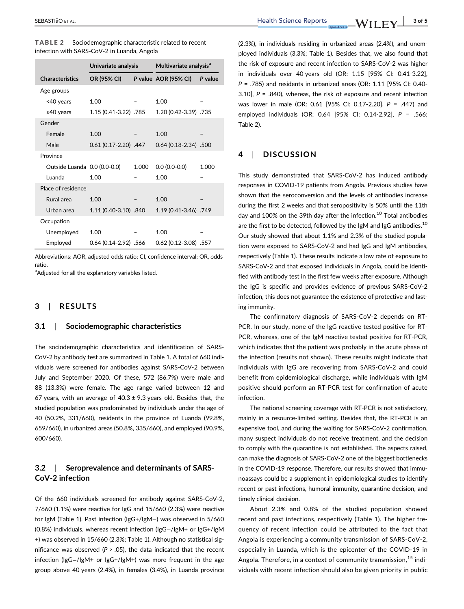| TABLE 2 | Sociodemographic characteristic related to recent |
|---------|---------------------------------------------------|
|         | infection with SARS-CoV-2 in Luanda, Angola       |

|                              | Univariate analysis      |       | Multivariate analysis <sup>a</sup> |         |  |  |
|------------------------------|--------------------------|-------|------------------------------------|---------|--|--|
| <b>Characteristics</b>       | OR (95% CI)              |       | P value AOR (95% CI)               | P value |  |  |
| Age groups                   |                          |       |                                    |         |  |  |
| <40 years                    | 1.00                     |       | 1.00                               |         |  |  |
| $\geq$ 40 years              | 1.15 (0.41-3.22) .785    |       | 1.20 (0.42-3.39) .735              |         |  |  |
| Gender                       |                          |       |                                    |         |  |  |
| Female                       | 1.00                     |       | 1.00                               |         |  |  |
| Male                         | $0.61(0.17 - 2.20)$ .447 |       | 0.64 (0.18-2.34) .500              |         |  |  |
| Province                     |                          |       |                                    |         |  |  |
| Outside Luanda 0.0 (0.0-0.0) |                          | 1.000 | $0.0(0.0-0.0)$                     | 1.000   |  |  |
| Luanda                       | 1.00                     |       | 1.00                               |         |  |  |
| Place of residence           |                          |       |                                    |         |  |  |
| Rural area                   | 1.00                     |       | 1.00                               |         |  |  |
| Urban area                   | 1.11 (0.40-3.10) .840    |       | 1.19 (0.41-3.46) .749              |         |  |  |
| Occupation                   |                          |       |                                    |         |  |  |
| Unemployed                   | 1.00                     |       | 1.00                               |         |  |  |
| Employed                     | $0.64(0.14-2.92)$ .566   |       | 0.62 (0.12-3.08) .557              |         |  |  |

Abbreviations: AOR, adjusted odds ratio; CI, confidence interval; OR, odds ratio.

<sup>a</sup>Adjusted for all the explanatory variables listed.

# 3 | RESULTS

## 3.1 | Sociodemographic characteristics

The sociodemographic characteristics and identification of SARS-CoV-2 by antibody test are summarized in Table 1. A total of 660 individuals were screened for antibodies against SARS-CoV-2 between July and September 2020. Of these, 572 (86.7%) were male and 88 (13.3%) were female. The age range varied between 12 and 67 years, with an average of  $40.3 \pm 9.3$  years old. Besides that, the studied population was predominated by individuals under the age of 40 (50.2%, 331/660), residents in the province of Luanda (99.8%, 659/660), in urbanized areas (50.8%, 335/660), and employed (90.9%, 600/660).

# 3.2 | Seroprevalence and determinants of SARS-CoV-2 infection

Of the 660 individuals screened for antibody against SARS-CoV-2, 7/660 (1.1%) were reactive for IgG and 15/660 (2.3%) were reactive for IgM (Table 1). Past infection (IgG+/IgM−) was observed in 5/660 (0.8%) individuals, whereas recent infection (IgG−/IgM+ or IgG+/IgM +) was observed in 15/660 (2.3%; Table 1). Although no statistical significance was observed ( $P > .05$ ), the data indicated that the recent infection (IgG−/IgM+ or IgG+/IgM+) was more frequent in the age group above 40 years (2.4%), in females (3.4%), in Luanda province (2.3%), in individuals residing in urbanized areas (2.4%), and unemployed individuals (3.3%; Table 1). Besides that, we also found that the risk of exposure and recent infection to SARS-CoV-2 was higher in individuals over 40 years old (OR: 1.15 [95% CI: 0.41-3.22],  $P = .785$ ) and residents in urbanized areas (OR: 1.11 [95% CI: 0.40-3.10],  $P = .840$ , whereas, the risk of exposure and recent infection was lower in male (OR: 0.61 [95% CI: 0.17-2.20], P = .447) and employed individuals (OR: 0.64 [95% CI: 0.14-2.92], P = .566; Table 2).

# 4 | DISCUSSION

This study demonstrated that SARS-CoV-2 has induced antibody responses in COVID-19 patients from Angola. Previous studies have shown that the seroconversion and the levels of antibodies increase during the first 2 weeks and that seropositivity is 50% until the 11th day and 100% on the 39th day after the infection.<sup>10</sup> Total antibodies are the first to be detected, followed by the IgM and IgG antibodies.<sup>10</sup> Our study showed that about 1.1% and 2.3% of the studied population were exposed to SARS-CoV-2 and had IgG and IgM antibodies, respectively (Table 1). These results indicate a low rate of exposure to SARS-CoV-2 and that exposed individuals in Angola, could be identified with antibody test in the first few weeks after exposure. Although the IgG is specific and provides evidence of previous SARS-CoV-2 infection, this does not guarantee the existence of protective and lasting immunity.

The confirmatory diagnosis of SARS-CoV-2 depends on RT-PCR. In our study, none of the IgG reactive tested positive for RT-PCR, whereas, one of the IgM reactive tested positive for RT-PCR, which indicates that the patient was probably in the acute phase of the infection (results not shown). These results might indicate that individuals with IgG are recovering from SARS-CoV-2 and could benefit from epidemiological discharge, while individuals with IgM positive should perform an RT-PCR test for confirmation of acute infection.

The national screening coverage with RT-PCR is not satisfactory, mainly in a resource-limited setting. Besides that, the RT-PCR is an expensive tool, and during the waiting for SARS-CoV-2 confirmation, many suspect individuals do not receive treatment, and the decision to comply with the quarantine is not established. The aspects raised, can make the diagnosis of SARS-CoV-2 one of the biggest bottlenecks in the COVID-19 response. Therefore, our results showed that immunoassays could be a supplement in epidemiological studies to identify recent or past infections, humoral immunity, quarantine decision, and timely clinical decision.

About 2.3% and 0.8% of the studied population showed recent and past infections, respectively (Table 1). The higher frequency of recent infection could be attributed to the fact that Angola is experiencing a community transmission of SARS-CoV-2, especially in Luanda, which is the epicenter of the COVID-19 in Angola. Therefore, in a context of community transmission,  $15$  individuals with recent infection should also be given priority in public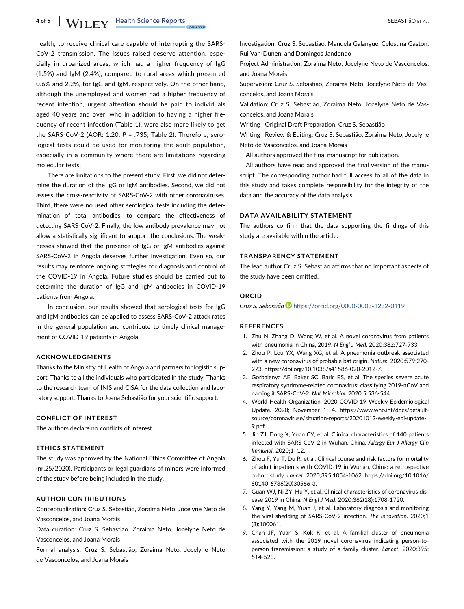1 of 5 WII FY Health Science Reports SEBASTIAG ET AL.

health, to receive clinical care capable of interrupting the SARS-CoV-2 transmission. The issues raised deserve attention, especially in urbanized areas, which had a higher frequency of IgG (1.5%) and IgM (2.4%), compared to rural areas which presented 0.6% and 2.2%, for IgG and IgM, respectively. On the other hand, although the unemployed and women had a higher frequency of recent infection, urgent attention should be paid to individuals aged 40 years and over, who in addition to having a higher frequency of recent infection (Table 1), were also more likely to get the SARS-CoV-2 (AOR: 1.20, P = .735; Table 2). Therefore, serological tests could be used for monitoring the adult population, especially in a community where there are limitations regarding molecular tests.

There are limitations to the present study. First, we did not determine the duration of the IgG or IgM antibodies. Second, we did not assess the cross-reactivity of SARS-CoV-2 with other coronaviruses. Third, there were no used other serological tests including the determination of total antibodies, to compare the effectiveness of detecting SARS-CoV-2. Finally, the low antibody prevalence may not allow a statistically significant to support the conclusions. The weaknesses showed that the presence of IgG or IgM antibodies against SARS-CoV-2 in Angola deserves further investigation. Even so, our results may reinforce ongoing strategies for diagnosis and control of the COVID-19 in Angola. Future studies should be carried out to determine the duration of IgG and IgM antibodies in COVID-19 patients from Angola.

In conclusion, our results showed that serological tests for IgG and IgM antibodies can be applied to assess SARS-CoV-2 attack rates in the general population and contribute to timely clinical management of COVID-19 patients in Angola.

## ACKNOWLEDGMENTS

Thanks to the Ministry of Health of Angola and partners for logistic support. Thanks to all the individuals who participated in the study. Thanks to the research team of INIS and CISA for the data collection and laboratory support. Thanks to Joana Sebastião for your scientific support.

## CONFLICT OF INTEREST

The authors declare no conflicts of interest.

## ETHICS STATEMENT

The study was approved by the National Ethics Committee of Angola (nr.25/2020). Participants or legal guardians of minors were informed of the study before being included in the study.

## AUTHOR CONTRIBUTIONS

Conceptualization: Cruz S. Sebastião, Zoraima Neto, Jocelyne Neto de Vasconcelos, and Joana Morais

Data curation: Cruz S. Sebastião, Zoraima Neto, Jocelyne Neto de Vasconcelos, and Joana Morais

Formal analysis: Cruz S. Sebastião, Zoraima Neto, Jocelyne Neto de Vasconcelos, and Joana Morais

Investigation: Cruz S. Sebastião, Manuela Galangue, Celestina Gaston, Rui Van-Dunen, and Domingos Jandondo

Project Administration: Zoraima Neto, Jocelyne Neto de Vasconcelos, and Joana Morais

Supervision: Cruz S. Sebastião, Zoraima Neto, Jocelyne Neto de Vasconcelos, and Joana Morais

Validation: Cruz S. Sebastião, Zoraima Neto, Jocelyne Neto de Vasconcelos, and Joana Morais

Writing-Original Draft Preparation: Cruz S. Sebastião

Writing-Review & Editing: Cruz S. Sebastião, Zoraima Neto, Jocelyne Neto de Vasconcelos, and Joana Morais

All authors approved the final manuscript for publication.

All authors have read and approved the final version of the manuscript. The corresponding author had full access to all of the data in this study and takes complete responsibility for the integrity of the data and the accuracy of the data analysis

## DATA AVAILABILITY STATEMENT

The authors confirm that the data supporting the findings of this study are available within the article.

## TRANSPARENCY STATEMENT

The lead author Cruz S. Sebastião affirms that no important aspects of the study have been omitted.

## ORCID

Cruz S. Sebastião<sup>®</sup> <https://orcid.org/0000-0003-1232-0119>

#### REFERENCES

- 1. Zhu N, Zhang D, Wang W, et al. A novel coronavirus from patients with pneumonia in China, 2019. N Engl J Med. 2020;382:727-733.
- 2. Zhou P, Lou YX, Wang XG, et al. A pneumonia outbreak associated with a new coronavirus of probable bat origin. Nature. 2020;579:270- 273.<https://doi.org/10.1038/s41586-020-2012-7>.
- 3. Gorbalenya AE, Baker SC, Baric RS, et al. The species severe acute respiratory syndrome-related coronavirus: classifying 2019-nCoV and naming it SARS-CoV-2. Nat Microbiol. 2020;5:536-544.
- 4. World Health Organization. 2020 COVID-19 Weekly Epidemiological Update. 2020; November 1; 4. [https://www.who.int/docs/default](https://www.who.int/docs/default-source/coronaviruse/situation-reports/20201012-weekly-epi-update-9.pdf)[source/coronaviruse/situation-reports/20201012-weekly-epi-update-](https://www.who.int/docs/default-source/coronaviruse/situation-reports/20201012-weekly-epi-update-9.pdf)[9.pdf](https://www.who.int/docs/default-source/coronaviruse/situation-reports/20201012-weekly-epi-update-9.pdf).
- 5. Jin ZJ, Dong X, Yuan CY, et al. Clinical characteristics of 140 patients infected with SARS-CoV-2 in Wuhan, China. Allergy Eur J Allergy Clin Immunol. 2020;1–12.
- 6. Zhou F, Yu T, Du R, et al. Clinical course and risk factors for mortality of adult inpatients with COVID-19 in Wuhan, China: a retrospective cohort study. Lancet. 2020;395:1054-1062. [https://doi.org/10.1016/](https://doi.org/10.1016/S0140-6736(20)30566-3) [S0140-6736\(20\)30566-3](https://doi.org/10.1016/S0140-6736(20)30566-3).
- 7. Guan WJ, Ni ZY, Hu Y, et al. Clinical characteristics of coronavirus disease 2019 in China. N Engl J Med. 2020;382(18):1708-1720.
- 8. Yang Y, Yang M, Yuan J, et al. Laboratory diagnosis and monitoring the viral shedding of SARS-CoV-2 infection. The Innovation. 2020;1 (3):100061.
- 9. Chan JF, Yuan S, Kok K, et al. A familial cluster of pneumonia associated with the 2019 novel coronavirus indicating person-toperson transmission: a study of a family cluster. Lancet. 2020;395: 514-523.